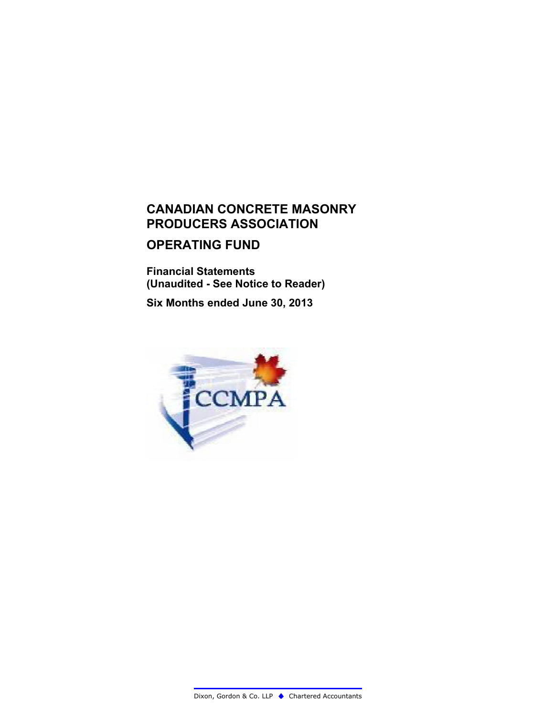# **OPERATING FUND**

**Financial Statements (Unaudited - See Notice to Reader)**

**Six Months ended June 30, 2013**

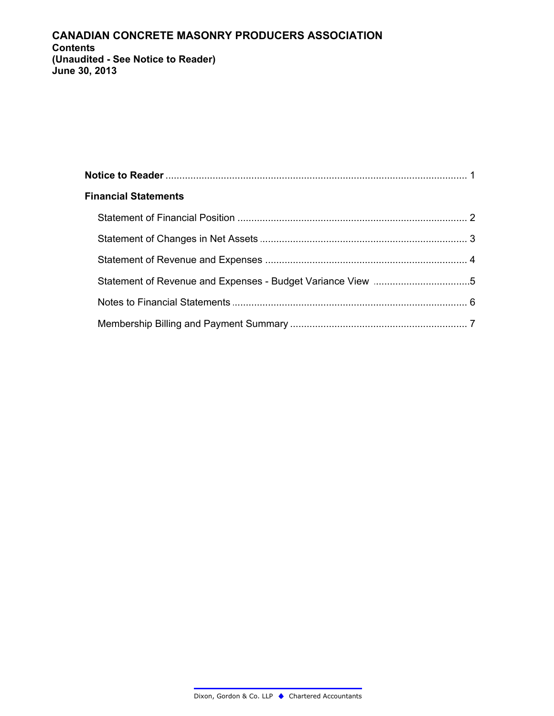### **CANADIAN CONCRETE MASONRY PRODUCERS ASSOCIATION Contents** (Unaudited - See Notice to Reader) June 30, 2013

| <b>Financial Statements</b> |  |
|-----------------------------|--|
|                             |  |
|                             |  |
|                             |  |
|                             |  |
|                             |  |
|                             |  |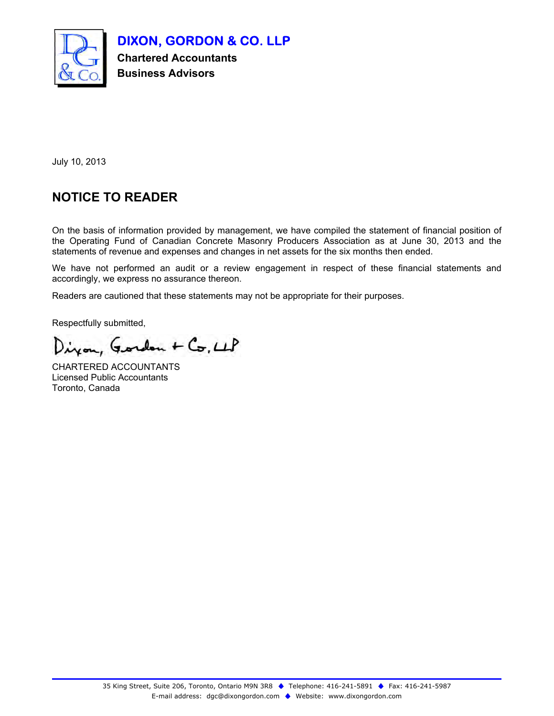

**DIXON, GORDON & CO. LLP**

**Chartered Accountants Business Advisors**

July 10, 2013

# **NOTICE TO READER**

On the basis of information provided by management, we have compiled the statement of financial position of the Operating Fund of Canadian Concrete Masonry Producers Association as at June 30, 2013 and the statements of revenue and expenses and changes in net assets for the six months then ended.

We have not performed an audit or a review engagement in respect of these financial statements and accordingly, we express no assurance thereon.

Readers are cautioned that these statements may not be appropriate for their purposes.

Respectfully submitted,

Diron, Gordon + Co, LLP

CHARTERED ACCOUNTANTS Licensed Public Accountants Toronto, Canada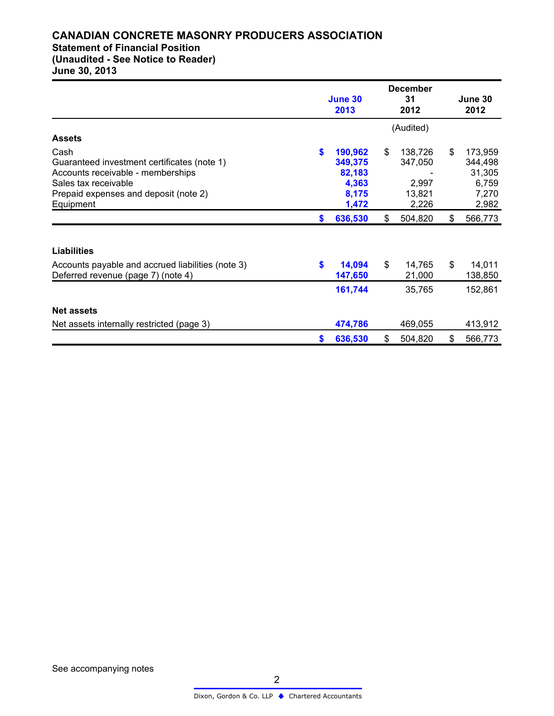### **CANADIAN CONCRETE MASONRY PRODUCERS ASSOCIATION Statement of Financial Position**

**(Unaudited - See Notice to Reader)**

**June 30, 2013**

|                                                                                                                                                                        | June 30<br>2013 |                                                         | <b>December</b><br>31<br>2012 |                                                | June 30<br>2012 |                                                         |
|------------------------------------------------------------------------------------------------------------------------------------------------------------------------|-----------------|---------------------------------------------------------|-------------------------------|------------------------------------------------|-----------------|---------------------------------------------------------|
|                                                                                                                                                                        |                 |                                                         |                               | (Audited)                                      |                 |                                                         |
| <b>Assets</b>                                                                                                                                                          |                 |                                                         |                               |                                                |                 |                                                         |
| Cash<br>Guaranteed investment certificates (note 1)<br>Accounts receivable - memberships<br>Sales tax receivable<br>Prepaid expenses and deposit (note 2)<br>Equipment | \$.             | 190,962<br>349,375<br>82,183<br>4,363<br>8,175<br>1,472 | \$                            | 138,726<br>347,050<br>2,997<br>13,821<br>2,226 | \$              | 173,959<br>344,498<br>31,305<br>6,759<br>7,270<br>2,982 |
|                                                                                                                                                                        | \$              | 636,530                                                 | \$                            | 504,820                                        | \$              | 566,773                                                 |
| <b>Liabilities</b>                                                                                                                                                     |                 |                                                         |                               |                                                |                 |                                                         |
| Accounts payable and accrued liabilities (note 3)<br>Deferred revenue (page 7) (note 4)                                                                                | \$              | 14,094<br>147,650                                       | \$                            | 14,765<br>21,000                               | \$              | 14,011<br>138,850                                       |
|                                                                                                                                                                        |                 | 161,744                                                 |                               | 35,765                                         |                 | 152,861                                                 |
| <b>Net assets</b>                                                                                                                                                      |                 |                                                         |                               |                                                |                 |                                                         |
| Net assets internally restricted (page 3)                                                                                                                              |                 | 474,786                                                 |                               | 469,055                                        |                 | 413,912                                                 |
|                                                                                                                                                                        | \$              | 636,530                                                 | \$                            | 504,820                                        | \$              | 566,773                                                 |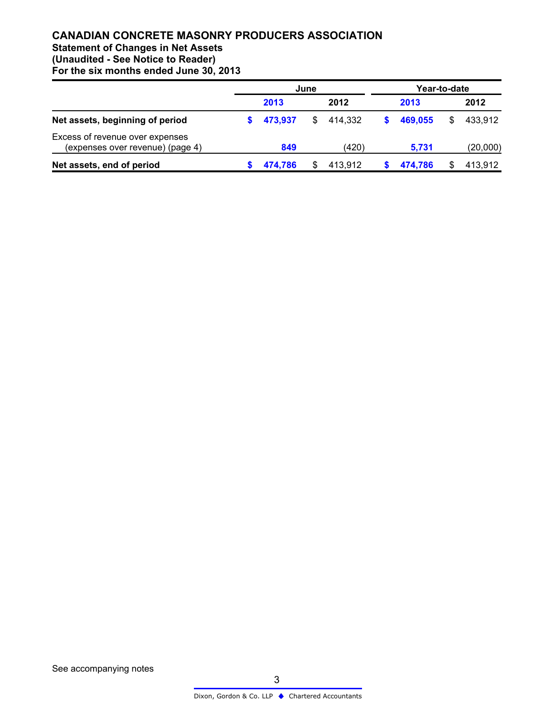# **Statement of Changes in Net Assets**

**(Unaudited - See Notice to Reader)**

|                                                                     | June    |    |         |  | Year-to-date |   |          |  |  |
|---------------------------------------------------------------------|---------|----|---------|--|--------------|---|----------|--|--|
|                                                                     | 2013    |    | 2012    |  | 2013         |   | 2012     |  |  |
| Net assets, beginning of period                                     | 473.937 | \$ | 414.332 |  | 469.055      | S | 433.912  |  |  |
| Excess of revenue over expenses<br>(expenses over revenue) (page 4) | 849     |    | (420)   |  | 5,731        |   | (20,000) |  |  |
| Net assets, end of period                                           | 474,786 |    | 413,912 |  | 474,786      |   | 413,912  |  |  |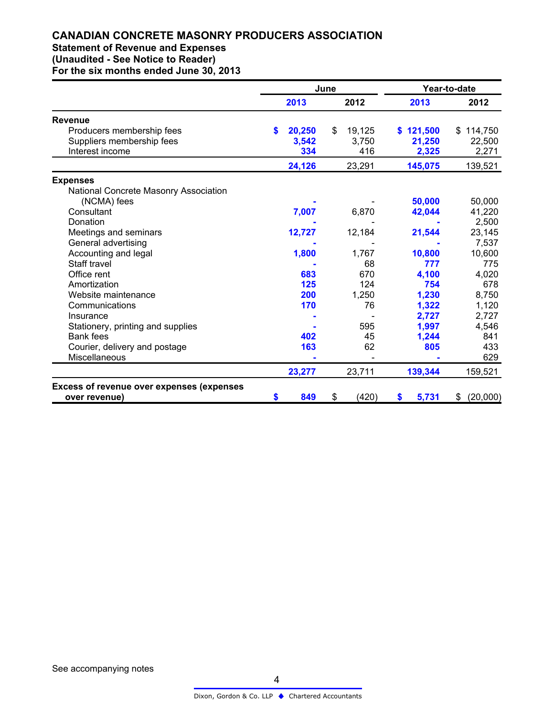# **Statement of Revenue and Expenses**

**(Unaudited - See Notice to Reader)**

|                                                                           | June |                        |      |                        | Year-to-date |                              |                              |
|---------------------------------------------------------------------------|------|------------------------|------|------------------------|--------------|------------------------------|------------------------------|
| 2013                                                                      |      |                        | 2012 | 2013                   |              | 2012                         |                              |
| <b>Revenue</b>                                                            |      |                        |      |                        |              |                              |                              |
| Producers membership fees<br>Suppliers membership fees<br>Interest income | \$.  | 20,250<br>3,542<br>334 | \$   | 19,125<br>3,750<br>416 |              | \$121,500<br>21,250<br>2,325 | \$114,750<br>22,500<br>2,271 |
|                                                                           |      | 24,126                 |      | 23,291                 |              | 145,075                      | 139,521                      |
| <b>Expenses</b>                                                           |      |                        |      |                        |              |                              |                              |
| National Concrete Masonry Association                                     |      |                        |      |                        |              | 50,000                       | 50,000                       |
| (NCMA) fees<br>Consultant<br>Donation                                     |      | 7,007                  |      | 6,870                  |              | 42,044                       | 41,220                       |
| Meetings and seminars                                                     |      | 12,727                 |      | 12,184                 |              | 21,544                       | 2,500<br>23,145              |
| General advertising<br>Accounting and legal                               |      | 1,800                  |      | 1,767                  |              | 10,800                       | 7,537<br>10,600              |
| Staff travel<br>Office rent                                               |      | 683                    |      | 68<br>670              |              | 777<br>4,100                 | 775<br>4,020                 |
| Amortization<br>Website maintenance                                       |      | 125<br>200             |      | 124<br>1,250           |              | 754<br>1,230                 | 678<br>8,750                 |
| Communications<br>Insurance                                               |      | 170                    |      | 76                     |              | 1,322<br>2,727               | 1,120<br>2,727               |
| Stationery, printing and supplies                                         |      | 402                    |      | 595                    |              | 1,997                        | 4,546<br>841                 |
| <b>Bank fees</b><br>Courier, delivery and postage<br>Miscellaneous        |      | 163                    |      | 45<br>62               |              | 1,244<br>805                 | 433<br>629                   |
|                                                                           |      | 23,277                 |      | 23,711                 |              | 139,344                      | 159,521                      |
| <b>Excess of revenue over expenses (expenses</b><br>over revenue)         | S    | 849                    | \$   | (420)                  | \$           | 5,731                        | (20,000)<br>\$               |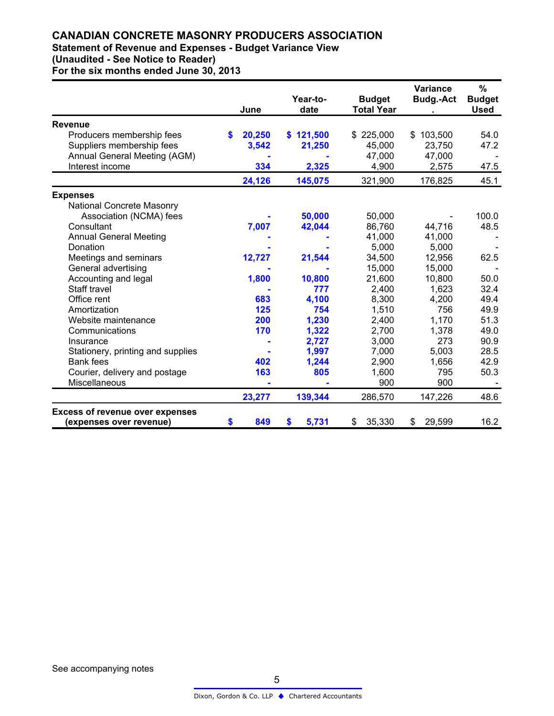### **Statement of Revenue and Expenses - Budget Variance View (Unaudited - See Notice to Reader)**

|                                        |    | June   | Year-to-<br>date | <b>Budget</b><br><b>Total Year</b> | <b>Variance</b><br><b>Budg.-Act</b> | %<br><b>Budget</b><br><b>Used</b> |
|----------------------------------------|----|--------|------------------|------------------------------------|-------------------------------------|-----------------------------------|
|                                        |    |        |                  |                                    |                                     |                                   |
| <b>Revenue</b>                         |    |        |                  |                                    |                                     |                                   |
| Producers membership fees              | S  | 20,250 | \$121,500        | \$225,000                          | \$103,500                           | 54.0                              |
| Suppliers membership fees              |    | 3,542  | 21,250           | 45,000                             | 23,750                              | 47.2                              |
| Annual General Meeting (AGM)           |    |        |                  | 47,000                             | 47,000                              |                                   |
| Interest income                        |    | 334    | 2,325            | 4,900                              | 2,575                               | 47.5                              |
|                                        |    | 24,126 | 145,075          | 321,900                            | 176,825                             | 45.1                              |
| <b>Expenses</b>                        |    |        |                  |                                    |                                     |                                   |
| <b>National Concrete Masonry</b>       |    |        |                  |                                    |                                     |                                   |
| Association (NCMA) fees                |    |        | 50,000           | 50,000                             |                                     | 100.0                             |
| Consultant                             |    | 7,007  | 42,044           | 86,760                             | 44,716                              | 48.5                              |
| <b>Annual General Meeting</b>          |    |        |                  | 41,000                             | 41,000                              |                                   |
| Donation                               |    |        |                  | 5,000                              | 5,000                               |                                   |
| Meetings and seminars                  |    | 12,727 | 21,544           | 34,500                             | 12,956                              | 62.5                              |
| General advertising                    |    |        |                  | 15,000                             | 15,000                              |                                   |
| Accounting and legal                   |    | 1,800  | 10,800           | 21,600                             | 10,800                              | 50.0                              |
| Staff travel                           |    |        | 777              | 2,400                              | 1,623                               | 32.4                              |
| Office rent                            |    | 683    | 4,100            | 8,300                              | 4,200                               | 49.4                              |
| Amortization                           |    | 125    | 754              | 1,510                              | 756                                 | 49.9                              |
| Website maintenance                    |    | 200    | 1,230            | 2,400                              | 1,170                               | 51.3                              |
| Communications                         |    | 170    | 1,322            | 2,700                              | 1,378                               | 49.0                              |
| Insurance                              |    |        | 2,727            | 3,000                              | 273                                 | 90.9                              |
| Stationery, printing and supplies      |    |        | 1,997            | 7,000                              | 5,003                               | 28.5                              |
| <b>Bank fees</b>                       |    | 402    | 1,244            | 2,900                              | 1,656                               | 42.9                              |
| Courier, delivery and postage          |    | 163    | 805              | 1,600                              | 795                                 | 50.3                              |
| Miscellaneous                          |    |        |                  | 900                                | 900                                 |                                   |
|                                        |    | 23,277 | 139,344          | 286,570                            | 147,226                             | 48.6                              |
| <b>Excess of revenue over expenses</b> |    |        |                  |                                    |                                     |                                   |
| (expenses over revenue)                | \$ | 849    | 5,731<br>S       | 35,330<br>\$                       | 29,599<br>\$                        | 16.2                              |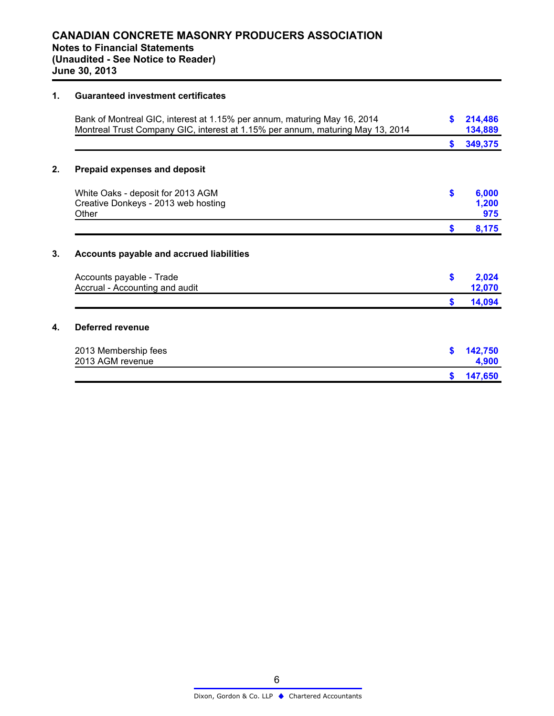#### **1. Guaranteed investment certificates**

| Bank of Montreal GIC, interest at 1.15% per annum, maturing May 16, 2014<br>Montreal Trust Company GIC, interest at 1.15% per annum, maturing May 13, 2014 | \$ | 214,486<br>134,889    |
|------------------------------------------------------------------------------------------------------------------------------------------------------------|----|-----------------------|
|                                                                                                                                                            | S. | 349,375               |
| <b>Prepaid expenses and deposit</b>                                                                                                                        |    |                       |
| White Oaks - deposit for 2013 AGM<br>Creative Donkeys - 2013 web hosting<br>Other                                                                          | \$ | 6,000<br>1,200<br>975 |
|                                                                                                                                                            | \$ | 8,175                 |
| <b>Accounts payable and accrued liabilities</b><br>Accounts payable - Trade<br>Accrual - Accounting and audit                                              | \$ | 2,024<br>12,070       |
|                                                                                                                                                            | S. | 14,094                |
| Deferred revenue                                                                                                                                           |    |                       |
| 2013 Membership fees<br>2013 AGM revenue                                                                                                                   | \$ | 142,750<br>4,900      |
|                                                                                                                                                            | \$ | 147,650               |